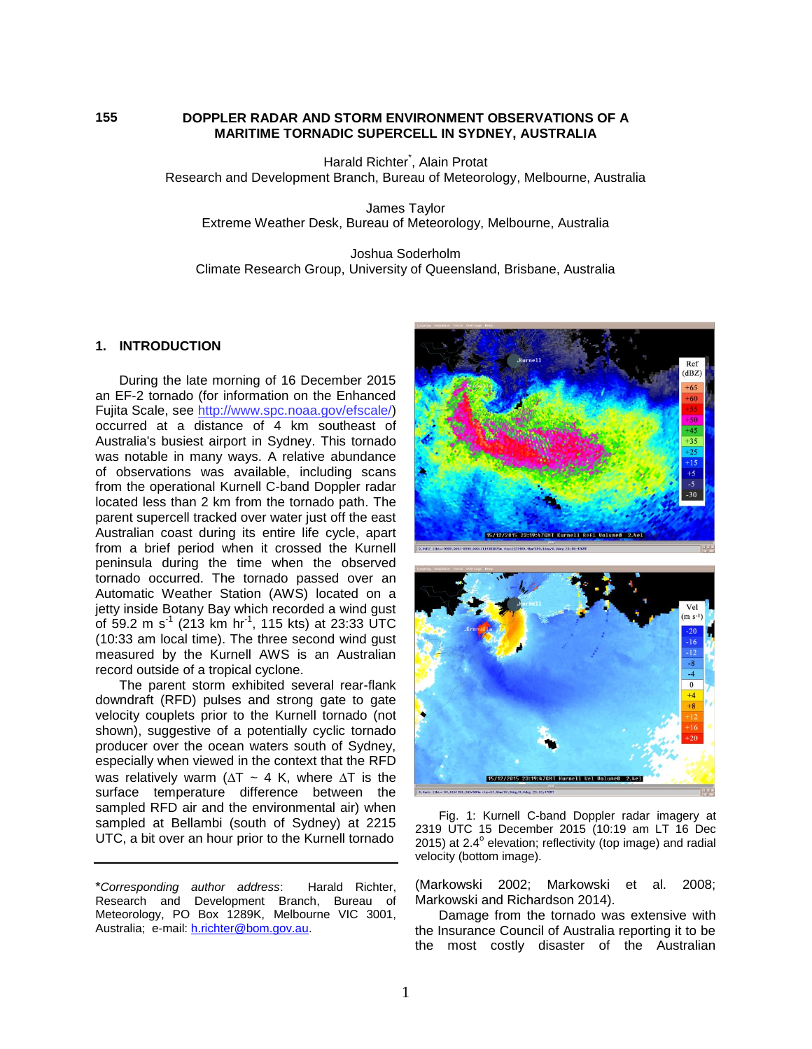#### **DOPPLER RADAR AND STORM ENVIRONMENT OBSERVATIONS OF A MARITIME TORNADIC SUPERCELL IN SYDNEY, AUSTRALIA**

Harald Richter\* , Alain Protat Research and Development Branch, Bureau of Meteorology, Melbourne, Australia

James Taylor Extreme Weather Desk, Bureau of Meteorology, Melbourne, Australia

Joshua Soderholm Climate Research Group, University of Queensland, Brisbane, Australia

#### **1. INTRODUCTION**

During the late morning of 16 December 2015 an EF-2 tornado (for information on the Enhanced Fujita Scale, see [http://www.spc.noaa.gov/efscale/\)](http://www.spc.noaa.gov/efscale/) occurred at a distance of 4 km southeast of Australia's busiest airport in Sydney. This tornado was notable in many ways. A relative abundance of observations was available, including scans from the operational Kurnell C-band Doppler radar located less than 2 km from the tornado path. The parent supercell tracked over water just off the east Australian coast during its entire life cycle, apart from a brief period when it crossed the Kurnell peninsula during the time when the observed tornado occurred. The tornado passed over an Automatic Weather Station (AWS) located on a jetty inside Botany Bay which recorded a wind gust of 59.2 m s<sup>-1</sup> (213 km hr<sup>-1</sup>, 115 kts) at 23:33 UTC (10:33 am local time). The three second wind gust measured by the Kurnell AWS is an Australian record outside of a tropical cyclone.

The parent storm exhibited several rear-flank downdraft (RFD) pulses and strong gate to gate velocity couplets prior to the Kurnell tornado (not shown), suggestive of a potentially cyclic tornado producer over the ocean waters south of Sydney, especially when viewed in the context that the RFD was relatively warm ( $\Delta T \sim 4$  K, where  $\Delta T$  is the surface temperature difference between the sampled RFD air and the environmental air) when sampled at Bellambi (south of Sydney) at 2215 UTC, a bit over an hour prior to the Kurnell tornado

\**Corresponding author address*: Harald Richter, Research and Development Branch, Bureau of Meteorology, PO Box 1289K, Melbourne VIC 3001, Australia; e-mail: [h.richter@bom.gov.au.](mailto:h.richter@bom.gov.au)



Fig. 1: Kurnell C-band Doppler radar imagery at 2319 UTC 15 December 2015 (10:19 am LT 16 Dec 2015) at 2.4 $^{\circ}$  elevation; reflectivity (top image) and radial velocity (bottom image).

(Markowski 2002; Markowski et al. 2008; Markowski and Richardson 2014).

Damage from the tornado was extensive with the Insurance Council of Australia reporting it to be the most costly disaster of the Australian

**155**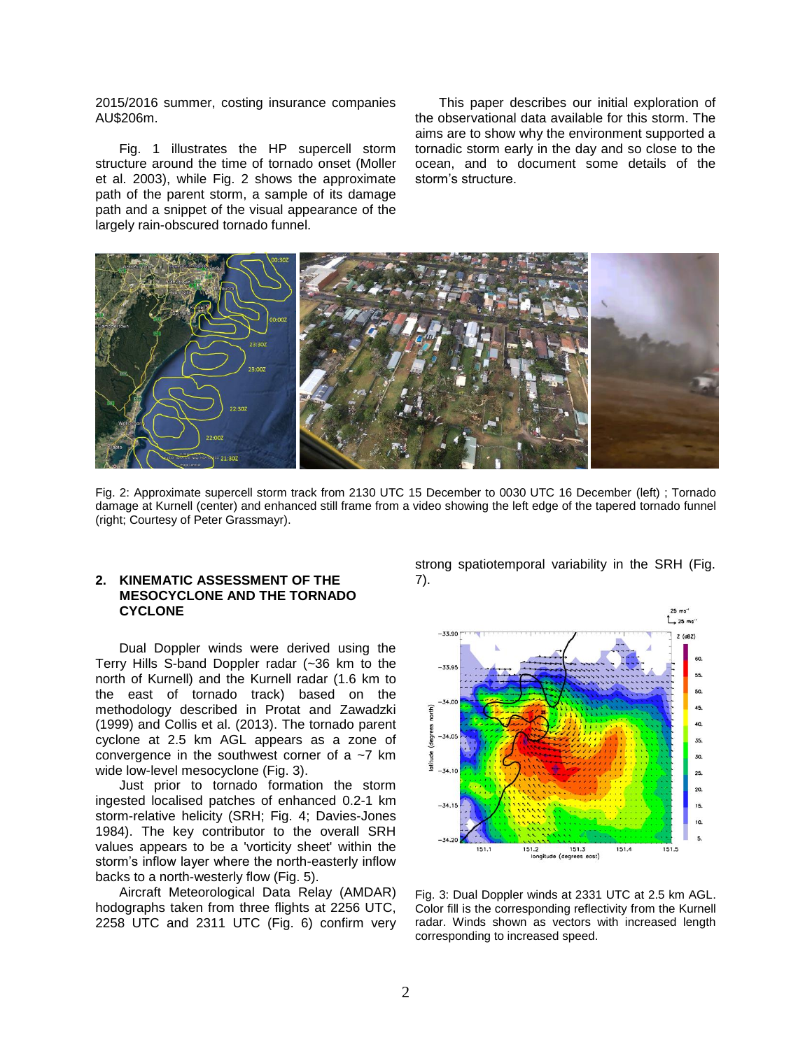2015/2016 summer, costing insurance companies AU\$206m.

Fig. 1 illustrates the HP supercell storm structure around the time of tornado onset (Moller et al. 2003), while Fig. 2 shows the approximate path of the parent storm, a sample of its damage path and a snippet of the visual appearance of the largely rain-obscured tornado funnel.

This paper describes our initial exploration of the observational data available for this storm. The aims are to show why the environment supported a tornadic storm early in the day and so close to the ocean, and to document some details of the storm's structure.



Fig. 2: Approximate supercell storm track from 2130 UTC 15 December to 0030 UTC 16 December (left) ; Tornado damage at Kurnell (center) and enhanced still frame from a video showing the left edge of the tapered tornado funnel (right; Courtesy of Peter Grassmayr).

## **2. KINEMATIC ASSESSMENT OF THE MESOCYCLONE AND THE TORNADO CYCLONE**

Dual Doppler winds were derived using the Terry Hills S-band Doppler radar (~36 km to the north of Kurnell) and the Kurnell radar (1.6 km to the east of tornado track) based on the methodology described in Protat and Zawadzki (1999) and Collis et al. (2013). The tornado parent cyclone at 2.5 km AGL appears as a zone of convergence in the southwest corner of a  $\sim$ 7 km wide low-level mesocyclone (Fig. 3).

Just prior to tornado formation the storm ingested localised patches of enhanced 0.2-1 km storm-relative helicity (SRH; Fig. 4; Davies-Jones 1984). The key contributor to the overall SRH values appears to be a 'vorticity sheet' within the storm's inflow layer where the north-easterly inflow backs to a north-westerly flow (Fig. 5).

Aircraft Meteorological Data Relay (AMDAR) hodographs taken from three flights at 2256 UTC, 2258 UTC and 2311 UTC (Fig. 6) confirm very strong spatiotemporal variability in the SRH (Fig. 7).



Fig. 3: Dual Doppler winds at 2331 UTC at 2.5 km AGL. Color fill is the corresponding reflectivity from the Kurnell radar. Winds shown as vectors with increased length corresponding to increased speed.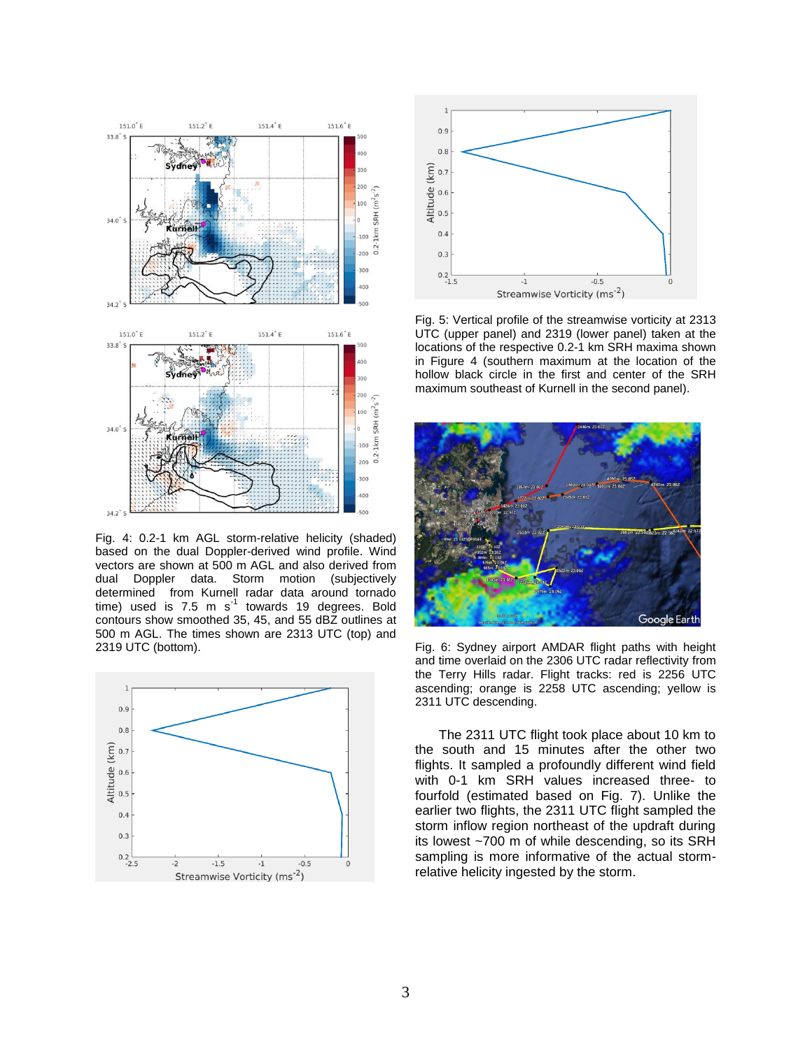

Fig. 4: 0.2-1 km AGL storm-relative helicity (shaded) based on the dual Doppler-derived wind profile. Wind vectors are shown at 500 m AGL and also derived from dual Doppler data. Storm motion (subjectively determined from Kurnell radar data around tornado time) used is 7.5 m  $s^{-1}$  towards 19 degrees. Bold contours show smoothed 35, 45, and 55 dBZ outlines at 500 m AGL. The times shown are 2313 UTC (top) and 2319 UTC (bottom).





Fig. 5: Vertical profile of the streamwise vorticity at 2313 UTC (upper panel) and 2319 (lower panel) taken at the locations of the respective 0.2-1 km SRH maxima shown in Figure 4 (southern maximum at the location of the hollow black circle in the first and center of the SRH maximum southeast of Kurnell in the second panel).



Fig. 6: Sydney airport AMDAR flight paths with height and time overlaid on the 2306 UTC radar reflectivity from the Terry Hills radar. Flight tracks: red is 2256 UTC ascending; orange is 2258 UTC ascending; yellow is 2311 UTC descending.

The 2311 UTC flight took place about 10 km to the south and 15 minutes after the other two flights. It sampled a profoundly different wind field with 0-1 km SRH values increased three- to fourfold (estimated based on Fig. 7). Unlike the earlier two flights, the 2311 UTC flight sampled the storm inflow region northeast of the updraft during its lowest ~700 m of while descending, so its SRH sampling is more informative of the actual stormrelative helicity ingested by the storm.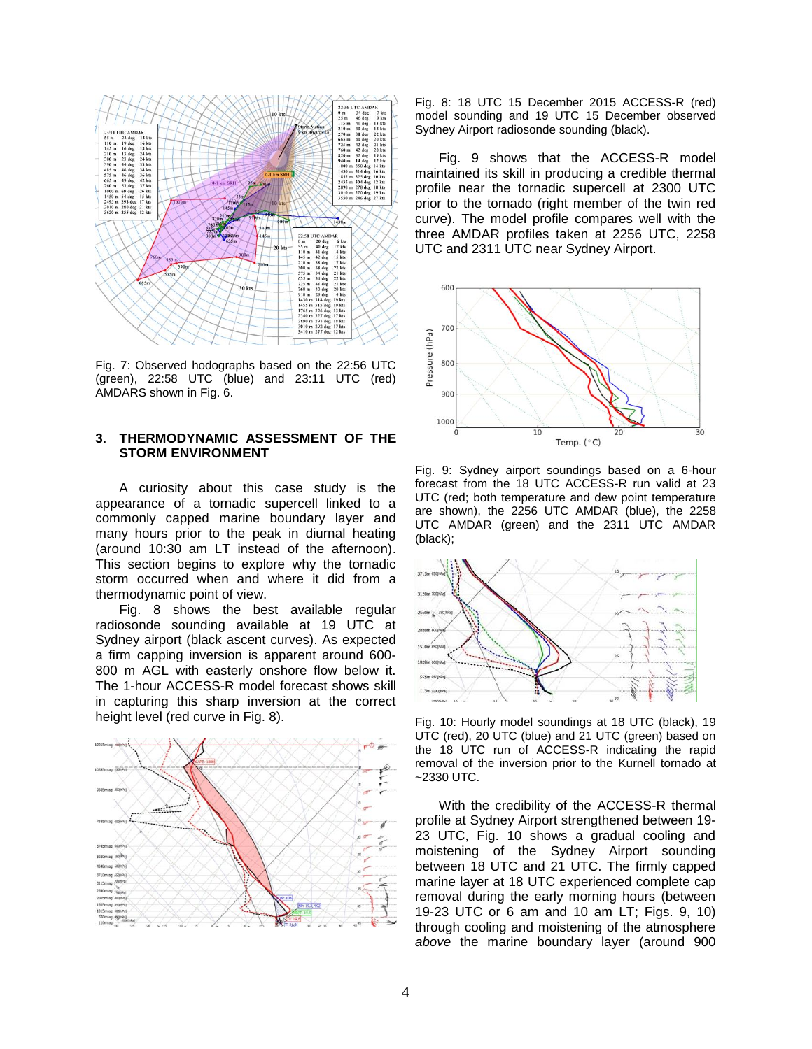

Fig. 7: Observed hodographs based on the 22:56 UTC (green), 22:58 UTC (blue) and 23:11 UTC (red) AMDARS shown in Fig. 6.

### **3. THERMODYNAMIC ASSESSMENT OF THE STORM ENVIRONMENT**

A curiosity about this case study is the appearance of a tornadic supercell linked to a commonly capped marine boundary layer and many hours prior to the peak in diurnal heating (around 10:30 am LT instead of the afternoon). This section begins to explore why the tornadic storm occurred when and where it did from a thermodynamic point of view.

Fig. 8 shows the best available regular radiosonde sounding available at 19 UTC at Sydney airport (black ascent curves). As expected a firm capping inversion is apparent around 600- 800 m AGL with easterly onshore flow below it. The 1-hour ACCESS-R model forecast shows skill in capturing this sharp inversion at the correct height level (red curve in Fig. 8).



Fig. 8: 18 UTC 15 December 2015 ACCESS-R (red) model sounding and 19 UTC 15 December observed Sydney Airport radiosonde sounding (black).

Fig. 9 shows that the ACCESS-R model maintained its skill in producing a credible thermal profile near the tornadic supercell at 2300 UTC prior to the tornado (right member of the twin red curve). The model profile compares well with the three AMDAR profiles taken at 2256 UTC, 2258 UTC and 2311 UTC near Sydney Airport.



Fig. 9: Sydney airport soundings based on a 6-hour forecast from the 18 UTC ACCESS-R run valid at 23 UTC (red; both temperature and dew point temperature are shown), the 2256 UTC AMDAR (blue), the 2258 UTC AMDAR (green) and the 2311 UTC AMDAR (black);



Fig. 10: Hourly model soundings at 18 UTC (black), 19 UTC (red), 20 UTC (blue) and 21 UTC (green) based on the 18 UTC run of ACCESS-R indicating the rapid removal of the inversion prior to the Kurnell tornado at ~2330 UTC.

With the credibility of the ACCESS-R thermal profile at Sydney Airport strengthened between 19- 23 UTC, Fig. 10 shows a gradual cooling and moistening of the Sydney Airport sounding between 18 UTC and 21 UTC. The firmly capped marine layer at 18 UTC experienced complete cap removal during the early morning hours (between 19-23 UTC or 6 am and 10 am LT; Figs. 9, 10) through cooling and moistening of the atmosphere *above* the marine boundary layer (around 900